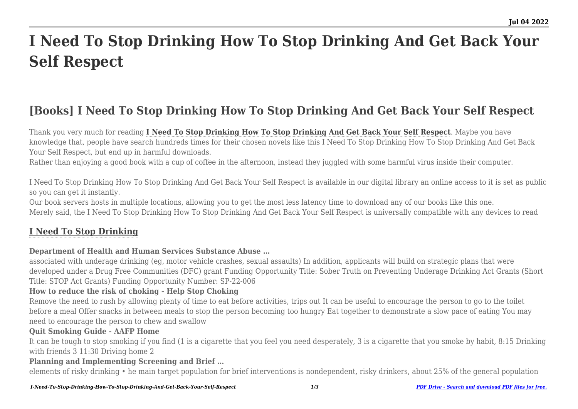# **I Need To Stop Drinking How To Stop Drinking And Get Back Your Self Respect**

## **[Books] I Need To Stop Drinking How To Stop Drinking And Get Back Your Self Respect**

Thank you very much for reading **[I Need To Stop Drinking How To Stop Drinking And Get Back Your Self Respect](http://goldwoodgardens.com)**. Maybe you have knowledge that, people have search hundreds times for their chosen novels like this I Need To Stop Drinking How To Stop Drinking And Get Back Your Self Respect, but end up in harmful downloads.

Rather than enjoying a good book with a cup of coffee in the afternoon, instead they juggled with some harmful virus inside their computer.

I Need To Stop Drinking How To Stop Drinking And Get Back Your Self Respect is available in our digital library an online access to it is set as public so you can get it instantly.

Our book servers hosts in multiple locations, allowing you to get the most less latency time to download any of our books like this one. Merely said, the I Need To Stop Drinking How To Stop Drinking And Get Back Your Self Respect is universally compatible with any devices to read

### **[I Need To Stop Drinking](http://goldwoodgardens.com/I-Need-To-Stop-Drinking-How-To-Stop-Drinking-And-Get-Back-Your-Self-Respect.pdf)**

#### **Department of Health and Human Services Substance Abuse …**

associated with underage drinking (eg, motor vehicle crashes, sexual assaults) In addition, applicants will build on strategic plans that were developed under a Drug Free Communities (DFC) grant Funding Opportunity Title: Sober Truth on Preventing Underage Drinking Act Grants (Short Title: STOP Act Grants) Funding Opportunity Number: SP-22-006

#### **How to reduce the risk of choking - Help Stop Choking**

Remove the need to rush by allowing plenty of time to eat before activities, trips out It can be useful to encourage the person to go to the toilet before a meal Offer snacks in between meals to stop the person becoming too hungry Eat together to demonstrate a slow pace of eating You may need to encourage the person to chew and swallow

#### **Quit Smoking Guide - AAFP Home**

It can be tough to stop smoking if you find (1 is a cigarette that you feel you need desperately, 3 is a cigarette that you smoke by habit, 8:15 Drinking with friends 3 11:30 Driving home 2

#### **Planning and Implementing Screening and Brief …**

elements of risky drinking • he main target population for brief interventions is nondependent, risky drinkers, about 25% of the general population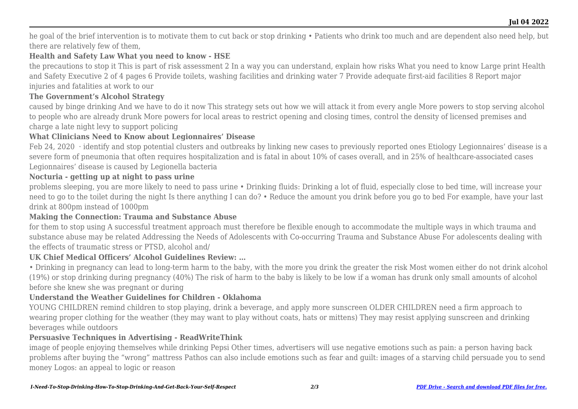he goal of the brief intervention is to motivate them to cut back or stop drinking • Patients who drink too much and are dependent also need help, but there are relatively few of them,

#### **Health and Safety Law What you need to know - HSE**

the precautions to stop it This is part of risk assessment 2 In a way you can understand, explain how risks What you need to know Large print Health and Safety Executive 2 of 4 pages 6 Provide toilets, washing facilities and drinking water 7 Provide adequate first-aid facilities 8 Report major injuries and fatalities at work to our

#### **The Government's Alcohol Strategy**

caused by binge drinking And we have to do it now This strategy sets out how we will attack it from every angle More powers to stop serving alcohol to people who are already drunk More powers for local areas to restrict opening and closing times, control the density of licensed premises and charge a late night levy to support policing

#### **What Clinicians Need to Know about Legionnaires' Disease**

Feb 24, 2020 · identify and stop potential clusters and outbreaks by linking new cases to previously reported ones Etiology Legionnaires' disease is a severe form of pneumonia that often requires hospitalization and is fatal in about 10% of cases overall, and in 25% of healthcare-associated cases Legionnaires' disease is caused by Legionella bacteria

#### **Nocturia - getting up at night to pass urine**

problems sleeping, you are more likely to need to pass urine • Drinking fluids: Drinking a lot of fluid, especially close to bed time, will increase your need to go to the toilet during the night Is there anything I can do? • Reduce the amount you drink before you go to bed For example, have your last drink at 800pm instead of 1000pm

#### **Making the Connection: Trauma and Substance Abuse**

for them to stop using A successful treatment approach must therefore be flexible enough to accommodate the multiple ways in which trauma and substance abuse may be related Addressing the Needs of Adolescents with Co-occurring Trauma and Substance Abuse For adolescents dealing with the effects of traumatic stress or PTSD, alcohol and/

#### **UK Chief Medical Officers' Alcohol Guidelines Review: …**

• Drinking in pregnancy can lead to long-term harm to the baby, with the more you drink the greater the risk Most women either do not drink alcohol (19%) or stop drinking during pregnancy (40%) The risk of harm to the baby is likely to be low if a woman has drunk only small amounts of alcohol before she knew she was pregnant or during

#### **Understand the Weather Guidelines for Children - Oklahoma**

YOUNG CHILDREN remind children to stop playing, drink a beverage, and apply more sunscreen OLDER CHILDREN need a firm approach to wearing proper clothing for the weather (they may want to play without coats, hats or mittens) They may resist applying sunscreen and drinking beverages while outdoors

#### **Persuasive Techniques in Advertising - ReadWriteThink**

image of people enjoying themselves while drinking Pepsi Other times, advertisers will use negative emotions such as pain: a person having back problems after buying the "wrong" mattress Pathos can also include emotions such as fear and guilt: images of a starving child persuade you to send money Logos: an appeal to logic or reason